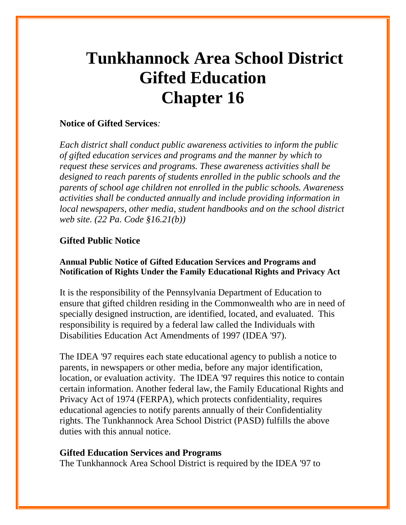# **Tunkhannock Area School District Gifted Education Chapter 16**

## **Notice of Gifted Services***:*

*Each district shall conduct public awareness activities to inform the public of gifted education services and programs and the manner by which to request these services and programs. These awareness activities shall be designed to reach parents of students enrolled in the public schools and the parents of school age children not enrolled in the public schools. Awareness activities shall be conducted annually and include providing information in local newspapers, other media, student handbooks and on the school district web site. (22 Pa. Code §16.21(b))*

## **Gifted Public Notice**

## **Annual Public Notice of Gifted Education Services and Programs and Notification of Rights Under the Family Educational Rights and Privacy Act**

It is the responsibility of the Pennsylvania Department of Education to ensure that gifted children residing in the Commonwealth who are in need of specially designed instruction, are identified, located, and evaluated. This responsibility is required by a federal law called the Individuals with Disabilities Education Act Amendments of 1997 (IDEA '97).

The IDEA '97 requires each state educational agency to publish a notice to parents, in newspapers or other media, before any major identification, location, or evaluation activity. The IDEA '97 requires this notice to contain certain information. Another federal law, the Family Educational Rights and Privacy Act of 1974 (FERPA), which protects confidentiality, requires educational agencies to notify parents annually of their Confidentiality rights. The Tunkhannock Area School District (PASD) fulfills the above duties with this annual notice.

## **Gifted Education Services and Programs**

The Tunkhannock Area School District is required by the IDEA '97 to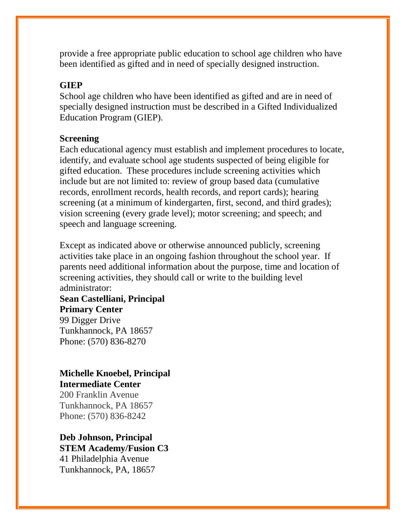provide a free appropriate public education to school age children who have been identified as gifted and in need of specially designed instruction.

## **GIEP**

School age children who have been identified as gifted and are in need of specially designed instruction must be described in a Gifted Individualized Education Program (GIEP).

## **Screening**

Each educational agency must establish and implement procedures to locate, identify, and evaluate school age students suspected of being eligible for gifted education. These procedures include screening activities which include but are not limited to: review of group based data (cumulative records, enrollment records, health records, and report cards); hearing screening (at a minimum of kindergarten, first, second, and third grades); vision screening (every grade level); motor screening; and speech; and speech and language screening.

Except as indicated above or otherwise announced publicly, screening activities take place in an ongoing fashion throughout the school year. If parents need additional information about the purpose, time and location of screening activities, they should call or write to the building level administrator:

**Sean Castelliani, Principal Primary Center** 99 Digger Drive Tunkhannock, PA 18657 Phone: (570) 836-8270

# **Michelle Knoebel, Principal Intermediate Center**

200 Franklin Avenue Tunkhannock, PA 18657 Phone: (570) 836-8242

**Deb Johnson, Principal STEM Academy/Fusion C3** 41 Philadelphia Avenue Tunkhannock, PA, 18657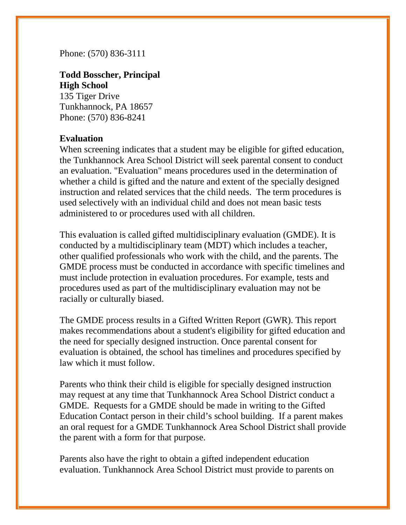Phone: (570) 836-3111

**Todd Bosscher, Principal High School** 135 Tiger Drive Tunkhannock, PA 18657 Phone: (570) 836-8241

## **Evaluation**

When screening indicates that a student may be eligible for gifted education, the Tunkhannock Area School District will seek parental consent to conduct an evaluation. "Evaluation" means procedures used in the determination of whether a child is gifted and the nature and extent of the specially designed instruction and related services that the child needs. The term procedures is used selectively with an individual child and does not mean basic tests administered to or procedures used with all children.

This evaluation is called gifted multidisciplinary evaluation (GMDE). It is conducted by a multidisciplinary team (MDT) which includes a teacher, other qualified professionals who work with the child, and the parents. The GMDE process must be conducted in accordance with specific timelines and must include protection in evaluation procedures. For example, tests and procedures used as part of the multidisciplinary evaluation may not be racially or culturally biased.

The GMDE process results in a Gifted Written Report (GWR). This report makes recommendations about a student's eligibility for gifted education and the need for specially designed instruction. Once parental consent for evaluation is obtained, the school has timelines and procedures specified by law which it must follow.

Parents who think their child is eligible for specially designed instruction may request at any time that Tunkhannock Area School District conduct a GMDE. Requests for a GMDE should be made in writing to the Gifted Education Contact person in their child's school building. If a parent makes an oral request for a GMDE Tunkhannock Area School District shall provide the parent with a form for that purpose.

Parents also have the right to obtain a gifted independent education evaluation. Tunkhannock Area School District must provide to parents on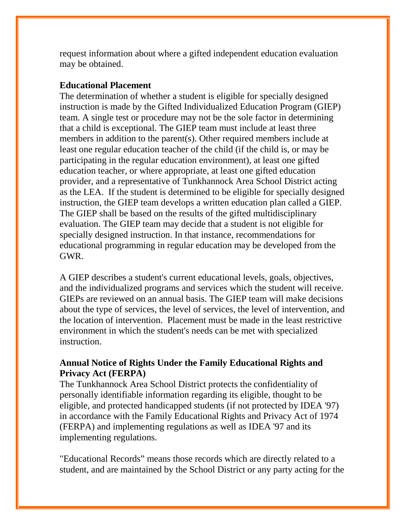request information about where a gifted independent education evaluation may be obtained.

## **Educational Placement**

The determination of whether a student is eligible for specially designed instruction is made by the Gifted Individualized Education Program (GIEP) team. A single test or procedure may not be the sole factor in determining that a child is exceptional. The GIEP team must include at least three members in addition to the parent(s). Other required members include at least one regular education teacher of the child (if the child is, or may be participating in the regular education environment), at least one gifted education teacher, or where appropriate, at least one gifted education provider, and a representative of Tunkhannock Area School District acting as the LEA. If the student is determined to be eligible for specially designed instruction, the GIEP team develops a written education plan called a GIEP. The GIEP shall be based on the results of the gifted multidisciplinary evaluation. The GIEP team may decide that a student is not eligible for specially designed instruction. In that instance, recommendations for educational programming in regular education may be developed from the GWR.

A GIEP describes a student's current educational levels, goals, objectives, and the individualized programs and services which the student will receive. GIEPs are reviewed on an annual basis. The GIEP team will make decisions about the type of services, the level of services, the level of intervention, and the location of intervention. Placement must be made in the least restrictive environment in which the student's needs can be met with specialized instruction.

# **Annual Notice of Rights Under the Family Educational Rights and Privacy Act (FERPA)**

The Tunkhannock Area School District protects the confidentiality of personally identifiable information regarding its eligible, thought to be eligible, and protected handicapped students (if not protected by IDEA '97) in accordance with the Family Educational Rights and Privacy Act of 1974 (FERPA) and implementing regulations as well as IDEA '97 and its implementing regulations.

"Educational Records" means those records which are directly related to a student, and are maintained by the School District or any party acting for the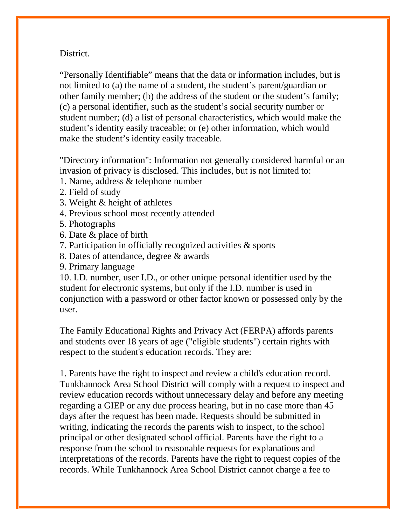## District.

"Personally Identifiable" means that the data or information includes, but is not limited to (a) the name of a student, the student's parent/guardian or other family member; (b) the address of the student or the student's family; (c) a personal identifier, such as the student's social security number or student number; (d) a list of personal characteristics, which would make the student's identity easily traceable; or (e) other information, which would make the student's identity easily traceable.

"Directory information": Information not generally considered harmful or an invasion of privacy is disclosed. This includes, but is not limited to:

- 1. Name, address & telephone number
- 2. Field of study
- 3. Weight & height of athletes
- 4. Previous school most recently attended
- 5. Photographs
- 6. Date & place of birth
- 7. Participation in officially recognized activities & sports
- 8. Dates of attendance, degree & awards
- 9. Primary language

10. I.D. number, user I.D., or other unique personal identifier used by the student for electronic systems, but only if the I.D. number is used in conjunction with a password or other factor known or possessed only by the user.

The Family Educational Rights and Privacy Act (FERPA) affords parents and students over 18 years of age ("eligible students") certain rights with respect to the student's education records. They are:

1. Parents have the right to inspect and review a child's education record. Tunkhannock Area School District will comply with a request to inspect and review education records without unnecessary delay and before any meeting regarding a GIEP or any due process hearing, but in no case more than 45 days after the request has been made. Requests should be submitted in writing, indicating the records the parents wish to inspect, to the school principal or other designated school official. Parents have the right to a response from the school to reasonable requests for explanations and interpretations of the records. Parents have the right to request copies of the records. While Tunkhannock Area School District cannot charge a fee to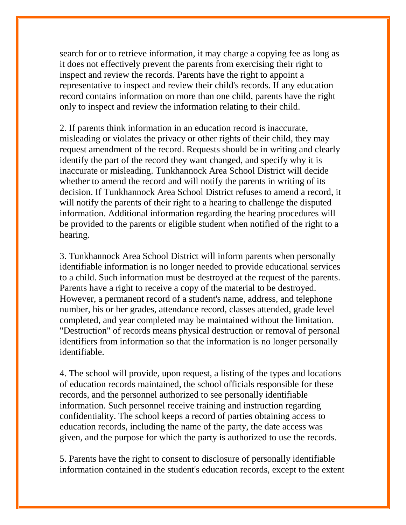search for or to retrieve information, it may charge a copying fee as long as it does not effectively prevent the parents from exercising their right to inspect and review the records. Parents have the right to appoint a representative to inspect and review their child's records. If any education record contains information on more than one child, parents have the right only to inspect and review the information relating to their child.

2. If parents think information in an education record is inaccurate, misleading or violates the privacy or other rights of their child, they may request amendment of the record. Requests should be in writing and clearly identify the part of the record they want changed, and specify why it is inaccurate or misleading. Tunkhannock Area School District will decide whether to amend the record and will notify the parents in writing of its decision. If Tunkhannock Area School District refuses to amend a record, it will notify the parents of their right to a hearing to challenge the disputed information. Additional information regarding the hearing procedures will be provided to the parents or eligible student when notified of the right to a hearing.

3. Tunkhannock Area School District will inform parents when personally identifiable information is no longer needed to provide educational services to a child. Such information must be destroyed at the request of the parents. Parents have a right to receive a copy of the material to be destroyed. However, a permanent record of a student's name, address, and telephone number, his or her grades, attendance record, classes attended, grade level completed, and year completed may be maintained without the limitation. "Destruction" of records means physical destruction or removal of personal identifiers from information so that the information is no longer personally identifiable.

4. The school will provide, upon request, a listing of the types and locations of education records maintained, the school officials responsible for these records, and the personnel authorized to see personally identifiable information. Such personnel receive training and instruction regarding confidentiality. The school keeps a record of parties obtaining access to education records, including the name of the party, the date access was given, and the purpose for which the party is authorized to use the records.

5. Parents have the right to consent to disclosure of personally identifiable information contained in the student's education records, except to the extent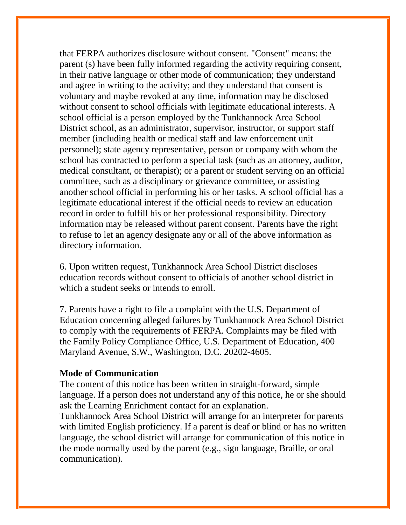that FERPA authorizes disclosure without consent. "Consent" means: the parent (s) have been fully informed regarding the activity requiring consent, in their native language or other mode of communication; they understand and agree in writing to the activity; and they understand that consent is voluntary and maybe revoked at any time, information may be disclosed without consent to school officials with legitimate educational interests. A school official is a person employed by the Tunkhannock Area School District school, as an administrator, supervisor, instructor, or support staff member (including health or medical staff and law enforcement unit personnel); state agency representative, person or company with whom the school has contracted to perform a special task (such as an attorney, auditor, medical consultant, or therapist); or a parent or student serving on an official committee, such as a disciplinary or grievance committee, or assisting another school official in performing his or her tasks. A school official has a legitimate educational interest if the official needs to review an education record in order to fulfill his or her professional responsibility. Directory information may be released without parent consent. Parents have the right to refuse to let an agency designate any or all of the above information as directory information.

6. Upon written request, Tunkhannock Area School District discloses education records without consent to officials of another school district in which a student seeks or intends to enroll.

7. Parents have a right to file a complaint with the U.S. Department of Education concerning alleged failures by Tunkhannock Area School District to comply with the requirements of FERPA. Complaints may be filed with the Family Policy Compliance Office, U.S. Department of Education, 400 Maryland Avenue, S.W., Washington, D.C. 20202-4605.

#### **Mode of Communication**

The content of this notice has been written in straight-forward, simple language. If a person does not understand any of this notice, he or she should ask the Learning Enrichment contact for an explanation.

Tunkhannock Area School District will arrange for an interpreter for parents with limited English proficiency. If a parent is deaf or blind or has no written language, the school district will arrange for communication of this notice in the mode normally used by the parent (e.g., sign language, Braille, or oral communication).